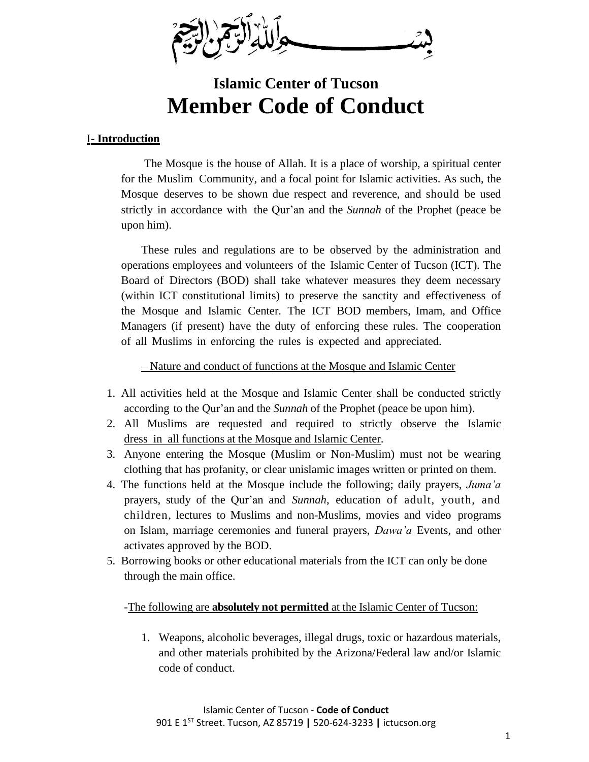

# **Islamic Center of Tucson Member Code of Conduct**

## I**- Introduction**

The Mosque is the house of Allah. It is a place of worship, a spiritual center for the Muslim Community, and a focal point for Islamic activities. As such, the Mosque deserves to be shown due respect and reverence, and should be used strictly in accordance with the Qur'an and the *Sunnah* of the Prophet (peace be upon him).

These rules and regulations are to be observed by the administration and operations employees and volunteers of the Islamic Center of Tucson (ICT). The Board of Directors (BOD) shall take whatever measures they deem necessary (within ICT constitutional limits) to preserve the sanctity and effectiveness of the Mosque and Islamic Center. The ICT BOD members, Imam, and Office Managers (if present) have the duty of enforcing these rules. The cooperation of all Muslims in enforcing the rules is expected and appreciated.

– Nature and conduct of functions at the Mosque and Islamic Center

- 1. All activities held at the Mosque and Islamic Center shall be conducted strictly according to the Qur'an and the *Sunnah* of the Prophet (peace be upon him).
- 2. All Muslims are requested and required to strictly observe the Islamic dress in all functions at the Mosque and Islamic Center.
- 3. Anyone entering the Mosque (Muslim or Non-Muslim) must not be wearing clothing that has profanity, or clear unislamic images written or printed on them.
- 4. The functions held at the Mosque include the following; daily prayers, *Juma'a* prayers, study of the Qur'an and *Sunnah*, education of adult, youth, and children, lectures to Muslims and non-Muslims, movies and video programs on Islam, marriage ceremonies and funeral prayers, *Dawa'a* Events, and other activates approved by the BOD.
- 5. Borrowing books or other educational materials from the ICT can only be done through the main office.

## -The following are **absolutely not permitted** at the Islamic Center of Tucson:

1. Weapons, alcoholic beverages, illegal drugs, toxic or hazardous materials, and other materials prohibited by the Arizona/Federal law and/or Islamic code of conduct.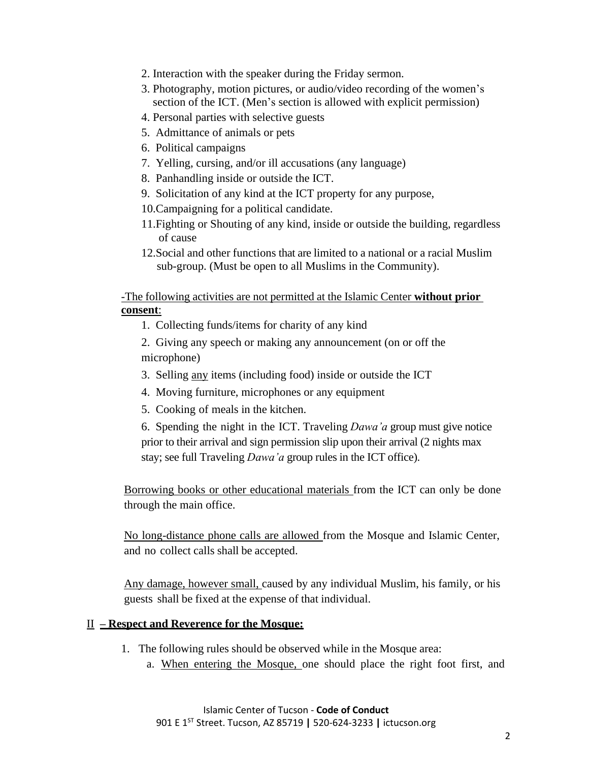- 2. Interaction with the speaker during the Friday sermon.
- 3. Photography, motion pictures, or audio/video recording of the women's section of the ICT. (Men's section is allowed with explicit permission)
- 4. Personal parties with selective guests
- 5. Admittance of animals or pets
- 6. Political campaigns
- 7. Yelling, cursing, and/or ill accusations (any language)
- 8. Panhandling inside or outside the ICT.
- 9. Solicitation of any kind at the ICT property for any purpose,
- 10.Campaigning for a political candidate.
- 11.Fighting or Shouting of any kind, inside or outside the building, regardless of cause
- 12.Social and other functions that are limited to a national or a racial Muslim sub-group. (Must be open to all Muslims in the Community).

-The following activities are not permitted at the Islamic Center **without prior consent**:

1. Collecting funds/items for charity of any kind

2. Giving any speech or making any announcement (on or off the microphone)

- 3. Selling any items (including food) inside or outside the ICT
- 4. Moving furniture, microphones or any equipment
- 5. Cooking of meals in the kitchen.

6. Spending the night in the ICT. Traveling *Dawa'a* group must give notice prior to their arrival and sign permission slip upon their arrival (2 nights max stay; see full Traveling *Dawa'a* group rules in the ICT office).

Borrowing books or other educational materials from the ICT can only be done through the main office.

No long-distance phone calls are allowed from the Mosque and Islamic Center, and no collect calls shall be accepted.

Any damage, however small, caused by any individual Muslim, his family, or his guests shall be fixed at the expense of that individual.

### II **– Respect and Reverence for the Mosque:**

- 1. The following rules should be observed while in the Mosque area:
	- a. When entering the Mosque, one should place the right foot first, and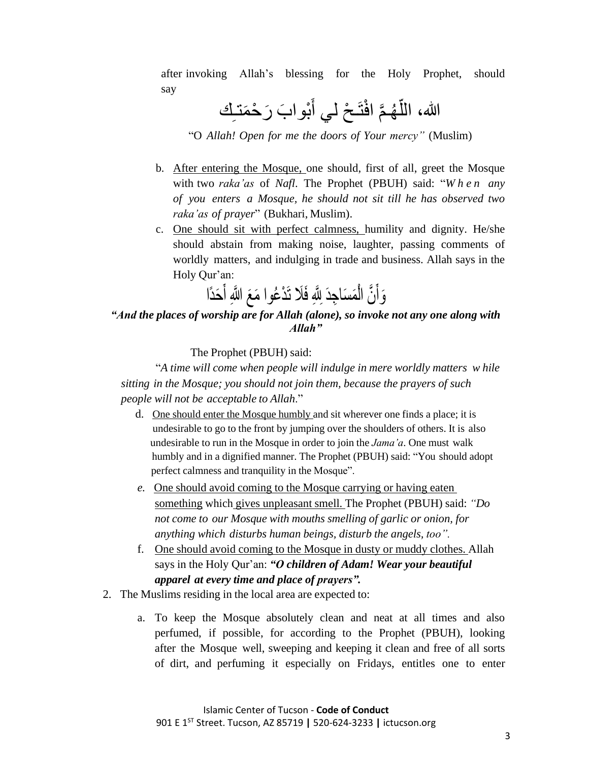after invoking Allah's blessing for the Holy Prophet, should say

> الله، اللَّهُمَّ افْتَحْ لي أَبْوابَ رَحْمَتـلِك َ ءَ<br>ثم ر<br>په ٳ

"O *Allah! Open for me the doors of Your mercy"* (Muslim)

- b. After entering the Mosque, one should, first of all, greet the Mosque with two *raka'as* of *Nafl*. The Prophet (PBUH) said: "*W h e n any of you enters a Mosque, he should not sit till he has observed two raka'as of prayer*" (Bukhari, Muslim).
- c. One should sit with perfect calmness, humility and dignity. He/she should abstain from making noise, laughter, passing comments of worldly matters, and indulging in trade and business. Allah says in the Holy Qur'an:

وَأَنَّ الْمَسَاجِدَ لِلَّهِ فَلَا تَدْعُوا مَعَ اللَّهِ أَحَدًا

## *"And the places of worship are for Allah (alone), so invoke not any one along with Allah"*

The Prophet (PBUH) said:

"*A time will come when people will indulge in mere worldly matters w hile sitting in the Mosque; you should not join them, because the prayers of such people will not be acceptable to Allah*."

- d. One should enter the Mosque humbly and sit wherever one finds a place; it is undesirable to go to the front by jumping over the shoulders of others. It is also undesirable to run in the Mosque in order to join the *Jama'a*. One must walk humbly and in a dignified manner. The Prophet (PBUH) said: "You should adopt perfect calmness and tranquility in the Mosque".
- *e.* One should avoid coming to the Mosque carrying or having eaten something which gives unpleasant smell. The Prophet (PBUH) said: *"Do not come to our Mosque with mouths smelling of garlic or onion, for anything which disturbs human beings, disturb the angels, too".*
- f. One should avoid coming to the Mosque in dusty or muddy clothes. Allah says in the Holy Qur'an: *"O children of Adam! Wear your beautiful apparel at every time and place of prayers".*
- 2. The Muslims residing in the local area are expected to:
	- a. To keep the Mosque absolutely clean and neat at all times and also perfumed, if possible, for according to the Prophet (PBUH), looking after the Mosque well, sweeping and keeping it clean and free of all sorts of dirt, and perfuming it especially on Fridays, entitles one to enter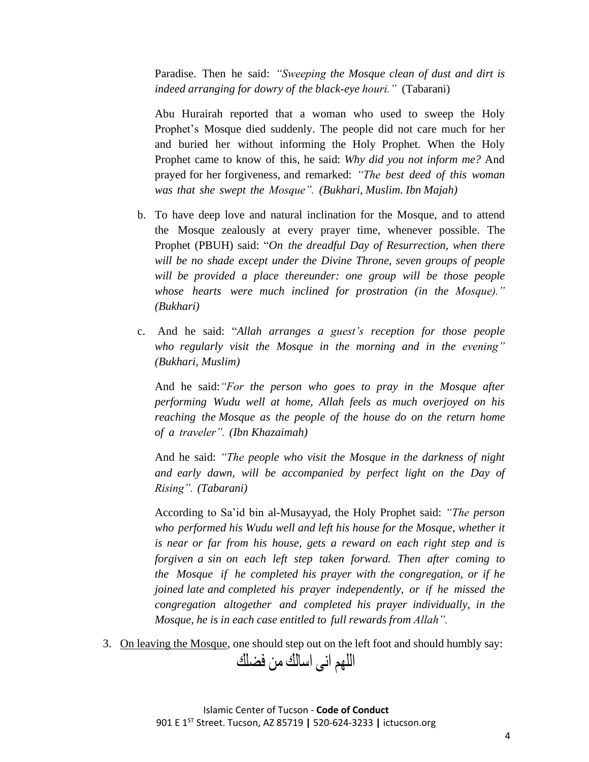Paradise. Then he said: *"Sweeping the Mosque clean of dust and dirt is indeed arranging for dowry of the black-eye houri."* (Tabarani)

Abu Hurairah reported that a woman who used to sweep the Holy Prophet's Mosque died suddenly. The people did not care much for her and buried her without informing the Holy Prophet. When the Holy Prophet came to know of this, he said: *Why did you not inform me?* And prayed for her forgiveness, and remarked: *"The best deed of this woman was that she swept the Mosque". (Bukhari, Muslim. Ibn Majah)*

- b. To have deep love and natural inclination for the Mosque, and to attend the Mosque zealously at every prayer time, whenever possible. The Prophet (PBUH) said: "*On the dreadful Day of Resurrection, when there will be no shade except under the Divine Throne, seven groups of people will be provided a place thereunder: one group will be those people whose hearts were much inclined for prostration (in the Mosque)." (Bukhari)*
- c. And he said: "*Allah arranges a guest's reception for those people who regularly visit the Mosque in the morning and in the evening" (Bukhari, Muslim)*

And he said:*"For the person who goes to pray in the Mosque after performing Wudu well at home, Allah feels as much overjoyed on his reaching the Mosque as the people of the house do on the return home of a traveler". (Ibn Khazaimah)*

And he said: *"The people who visit the Mosque in the darkness of night and early dawn, will be accompanied by perfect light on the Day of Rising". (Tabarani)*

According to Sa'id bin al-Musayyad, the Holy Prophet said: *"The person who performed his Wudu well and left his house for the Mosque, whether it is near or far from his house, gets a reward on each right step and is forgiven a sin on each left step taken forward. Then after coming to the Mosque if he completed his prayer with the congregation, or if he joined late and completed his prayer independently, or if he missed the congregation altogether and completed his prayer individually, in the Mosque, he is in each case entitled to full rewards from Allah".*

3. On leaving the Mosque, one should step out on the left foot and should humbly say:

اللهم انى اسالك من فضلك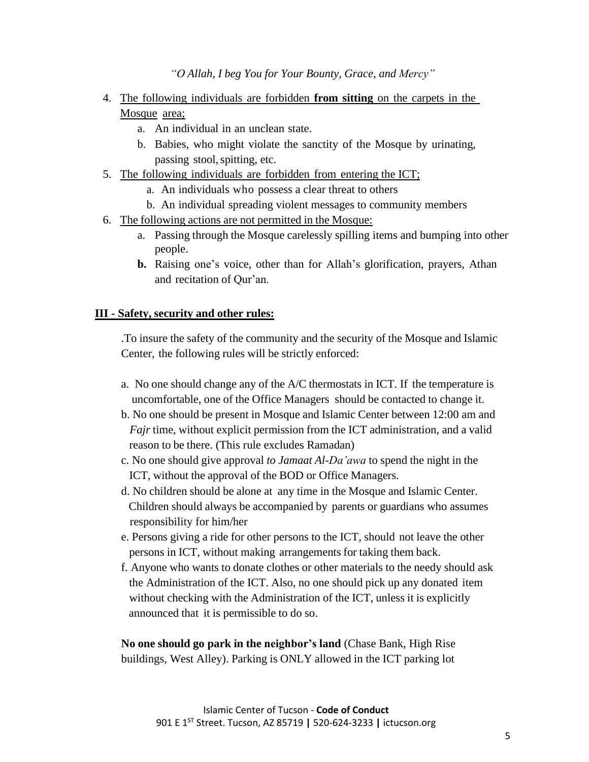*"O Allah, I beg You for Your Bounty, Grace, and Mercy"*

- 4. The following individuals are forbidden **from sitting** on the carpets in the Mosque area;
	- a. An individual in an unclean state.
	- b. Babies, who might violate the sanctity of the Mosque by urinating, passing stool,spitting, etc.
- 5. The following individuals are forbidden from entering the ICT;
	- a. An individuals who possess a clear threat to others
	- b. An individual spreading violent messages to community members
- 6. The following actions are not permitted in the Mosque:
	- a. Passing through the Mosque carelessly spilling items and bumping into other people.
	- **b.** Raising one's voice, other than for Allah's glorification, prayers, Athan and recitation of Qur'an.

#### **III - Safety, security and other rules:**

.To insure the safety of the community and the security of the Mosque and Islamic Center, the following rules will be strictly enforced:

- a. No one should change any of the A/C thermostats in ICT. If the temperature is uncomfortable, one of the Office Managers should be contacted to change it.
- b. No one should be present in Mosque and Islamic Center between 12:00 am and *Fajr* time, without explicit permission from the ICT administration, and a valid reason to be there. (This rule excludes Ramadan)
- c. No one should give approval *to Jamaat Al-Da'awa* to spend the night in the ICT, without the approval of the BOD or Office Managers.
- d. No children should be alone at any time in the Mosque and Islamic Center. Children should always be accompanied by parents or guardians who assumes responsibility for him/her
- e. Persons giving a ride for other persons to the ICT, should not leave the other persons in ICT, without making arrangements for taking them back.
- f. Anyone who wants to donate clothes or other materials to the needy should ask the Administration of the ICT. Also, no one should pick up any donated item without checking with the Administration of the ICT, unless it is explicitly announced that it is permissible to do so.

**No one should go park in the neighbor's land** (Chase Bank, High Rise buildings, West Alley). Parking is ONLY allowed in the ICT parking lot